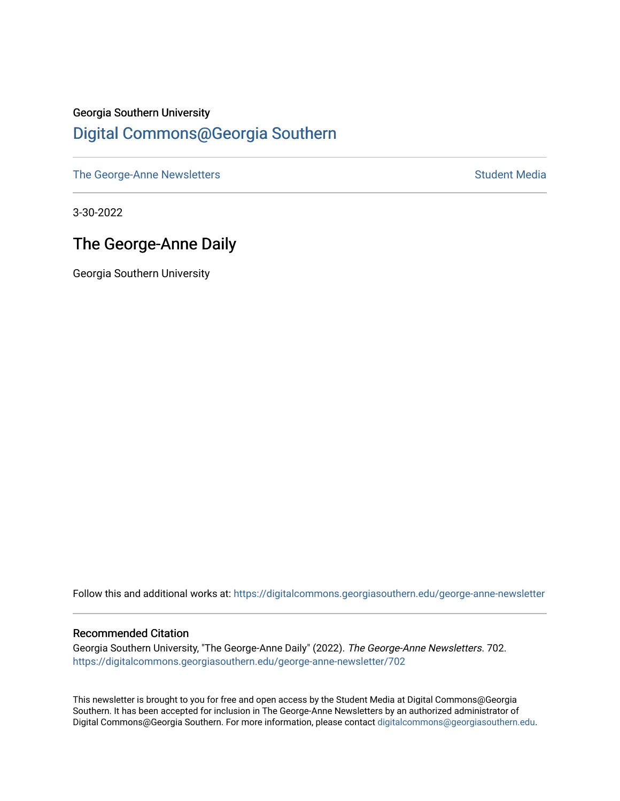#### Georgia Southern University [Digital Commons@Georgia Southern](https://digitalcommons.georgiasouthern.edu/)

[The George-Anne Newsletters](https://digitalcommons.georgiasouthern.edu/george-anne-newsletter) **Student Media** Student Media

3-30-2022

### The George-Anne Daily

Georgia Southern University

Follow this and additional works at: [https://digitalcommons.georgiasouthern.edu/george-anne-newsletter](https://digitalcommons.georgiasouthern.edu/george-anne-newsletter?utm_source=digitalcommons.georgiasouthern.edu%2Fgeorge-anne-newsletter%2F702&utm_medium=PDF&utm_campaign=PDFCoverPages)

#### Recommended Citation

Georgia Southern University, "The George-Anne Daily" (2022). The George-Anne Newsletters. 702. [https://digitalcommons.georgiasouthern.edu/george-anne-newsletter/702](https://digitalcommons.georgiasouthern.edu/george-anne-newsletter/702?utm_source=digitalcommons.georgiasouthern.edu%2Fgeorge-anne-newsletter%2F702&utm_medium=PDF&utm_campaign=PDFCoverPages) 

This newsletter is brought to you for free and open access by the Student Media at Digital Commons@Georgia Southern. It has been accepted for inclusion in The George-Anne Newsletters by an authorized administrator of Digital Commons@Georgia Southern. For more information, please contact [digitalcommons@georgiasouthern.edu.](mailto:digitalcommons@georgiasouthern.edu)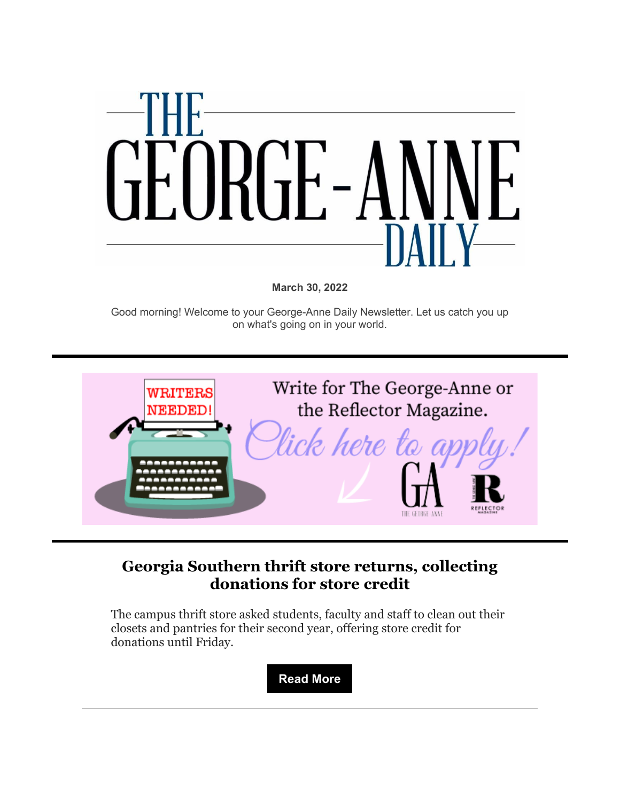

**March 30, 2022**

Good morning! Welcome to your George-Anne Daily Newsletter. Let us catch you up on what's going on in your world.



#### **[Georgia Southern thrift store returns, collecting](https://r20.rs6.net/tn.jsp?f=001MsTHkbeeHXts1Yk-d0L3zlSV3sRLTVH_Dd6sR1PEeqbnU-puYhDBcpUSuANwTTzUWek2LZ7ivArmFi7D0SQ7HXBr6v-z-MVtTWfj5-iU-0cGXtTDH8msIns5FRuU8t5qY4m9b9n8PphaAAXDTMbFs7OJyvIJEmr3k-oV0ViQ5AkZ4am7TeB1gnRPMBRkGuoHMQQWS5NfNJK3VjQeFTj1eYF-YJVV65CGXOV9q3b4iLuCQxkDsDGkOLCbympblkvb2X_jJMCcN14X1eiowPuMMg==&c=D66iFEORl-HPihWQjkMXXwzFg9UBlID66KwDltlShUOnmxyGCl0qKA==&ch=cu53F82-kSqSzB12KK7evTdEUYnZo0dD07N7JOmToKLmEw3lsHcU7g==)  [donations for store credit](https://r20.rs6.net/tn.jsp?f=001MsTHkbeeHXts1Yk-d0L3zlSV3sRLTVH_Dd6sR1PEeqbnU-puYhDBcpUSuANwTTzUWek2LZ7ivArmFi7D0SQ7HXBr6v-z-MVtTWfj5-iU-0cGXtTDH8msIns5FRuU8t5qY4m9b9n8PphaAAXDTMbFs7OJyvIJEmr3k-oV0ViQ5AkZ4am7TeB1gnRPMBRkGuoHMQQWS5NfNJK3VjQeFTj1eYF-YJVV65CGXOV9q3b4iLuCQxkDsDGkOLCbympblkvb2X_jJMCcN14X1eiowPuMMg==&c=D66iFEORl-HPihWQjkMXXwzFg9UBlID66KwDltlShUOnmxyGCl0qKA==&ch=cu53F82-kSqSzB12KK7evTdEUYnZo0dD07N7JOmToKLmEw3lsHcU7g==)**

The campus thrift store asked students, faculty and staff to clean out their closets and pantries for their second year, offering store credit for donations until Friday.

**[Read More](https://r20.rs6.net/tn.jsp?f=001MsTHkbeeHXts1Yk-d0L3zlSV3sRLTVH_Dd6sR1PEeqbnU-puYhDBcpUSuANwTTzUWek2LZ7ivArmFi7D0SQ7HXBr6v-z-MVtTWfj5-iU-0cGXtTDH8msIns5FRuU8t5qY4m9b9n8PphaAAXDTMbFs7OJyvIJEmr3k-oV0ViQ5AkZ4am7TeB1gnRPMBRkGuoHMQQWS5NfNJK3VjQeFTj1eYF-YJVV65CGXOV9q3b4iLuCQxkDsDGkOLCbympblkvb2X_jJMCcN14X1eiowPuMMg==&c=D66iFEORl-HPihWQjkMXXwzFg9UBlID66KwDltlShUOnmxyGCl0qKA==&ch=cu53F82-kSqSzB12KK7evTdEUYnZo0dD07N7JOmToKLmEw3lsHcU7g==)**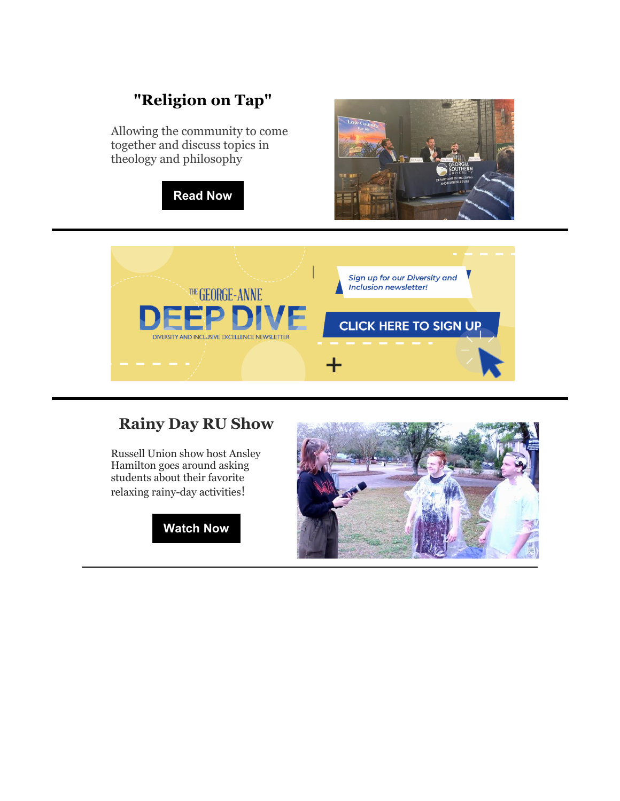# **["Religion on Tap"](https://r20.rs6.net/tn.jsp?f=001MsTHkbeeHXts1Yk-d0L3zlSV3sRLTVH_Dd6sR1PEeqbnU-puYhDBcpUSuANwTTzU-G0VBgzwbu_GwUN3Y-T2AzWo9l-o17XvVn3rgCmHwpWySZSNPGJL9p0gM7uZqbhFFrFDzP-ynpsv2j4XD_d71v2G7l2SiYyOuC5lLtD1Q9_eJ_jHEt_Ej24wm6Hhppm1D3J2PG4NCQM=&c=D66iFEORl-HPihWQjkMXXwzFg9UBlID66KwDltlShUOnmxyGCl0qKA==&ch=cu53F82-kSqSzB12KK7evTdEUYnZo0dD07N7JOmToKLmEw3lsHcU7g==)**

Allowing the community to come together and discuss topics in theology and philosophy







## **[Rainy Day RU Show](https://r20.rs6.net/tn.jsp?f=001MsTHkbeeHXts1Yk-d0L3zlSV3sRLTVH_Dd6sR1PEeqbnU-puYhDBcpUSuANwTTzUWzVvMPdXvPRLyq7_Bo9JbYFjTN5ttGS8353AMzHC-uYI1Mu7EJljZDKfz-qKnG8BS-lHvwpxNjN_LL6cfPVZHxQxCZ8NDsIADhrGRH1R8ISGvN49pkHWaWTLTXdR1Qjzcrq8UIoccs4=&c=D66iFEORl-HPihWQjkMXXwzFg9UBlID66KwDltlShUOnmxyGCl0qKA==&ch=cu53F82-kSqSzB12KK7evTdEUYnZo0dD07N7JOmToKLmEw3lsHcU7g==)**

Russell Union show host Ansley Hamilton goes around asking students about their favorite relaxing rainy-day activities!



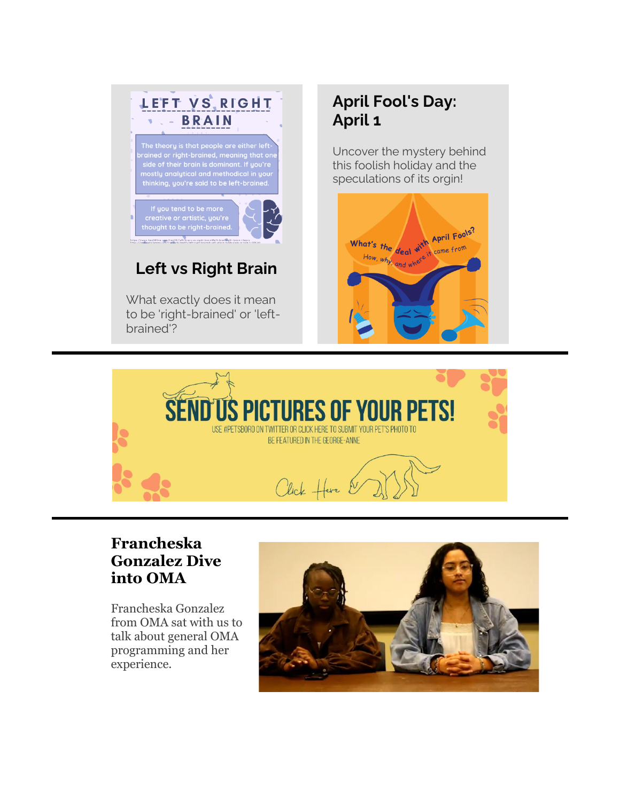

to be 'right-brained' or 'leftbrained'?

# **[April Fool's Day:](https://r20.rs6.net/tn.jsp?f=001MsTHkbeeHXts1Yk-d0L3zlSV3sRLTVH_Dd6sR1PEeqbnU-puYhDBcpUSuANwTTzUGbr7QUh1ie4KS3fNk4aIybR6ZWeSy-842QwWt0zfRshDTAMDelgIwhgHUiBGdYQtMqNXaUj-djb9WfHafmHwAAyDBSq0OTGiqv_QXeNNff52jAceRnQYW696fTiHTS0M&c=D66iFEORl-HPihWQjkMXXwzFg9UBlID66KwDltlShUOnmxyGCl0qKA==&ch=cu53F82-kSqSzB12KK7evTdEUYnZo0dD07N7JOmToKLmEw3lsHcU7g==)  [April 1](https://r20.rs6.net/tn.jsp?f=001MsTHkbeeHXts1Yk-d0L3zlSV3sRLTVH_Dd6sR1PEeqbnU-puYhDBcpUSuANwTTzUGbr7QUh1ie4KS3fNk4aIybR6ZWeSy-842QwWt0zfRshDTAMDelgIwhgHUiBGdYQtMqNXaUj-djb9WfHafmHwAAyDBSq0OTGiqv_QXeNNff52jAceRnQYW696fTiHTS0M&c=D66iFEORl-HPihWQjkMXXwzFg9UBlID66KwDltlShUOnmxyGCl0qKA==&ch=cu53F82-kSqSzB12KK7evTdEUYnZo0dD07N7JOmToKLmEw3lsHcU7g==)**

Uncover the mystery behind this foolish holiday and the speculations of its orgin!





### **[Francheska](https://r20.rs6.net/tn.jsp?f=001MsTHkbeeHXts1Yk-d0L3zlSV3sRLTVH_Dd6sR1PEeqbnU-puYhDBcpUSuANwTTzUMFlJ8Oji99TzCf2UdoEIJMJ8rf0-qPQp-WUogUE9_tWy5FPA-eP6JdVfgqWDGntJBWEqEcwviOHSQA-WgJs17Ynr6pNgnZN-WYbe79Sk8uDwgyjzTx5kMyz3w8Oj06AfjeImnhawJbCWWePAYicfTQ==&c=D66iFEORl-HPihWQjkMXXwzFg9UBlID66KwDltlShUOnmxyGCl0qKA==&ch=cu53F82-kSqSzB12KK7evTdEUYnZo0dD07N7JOmToKLmEw3lsHcU7g==)  [Gonzalez Dive](https://r20.rs6.net/tn.jsp?f=001MsTHkbeeHXts1Yk-d0L3zlSV3sRLTVH_Dd6sR1PEeqbnU-puYhDBcpUSuANwTTzUMFlJ8Oji99TzCf2UdoEIJMJ8rf0-qPQp-WUogUE9_tWy5FPA-eP6JdVfgqWDGntJBWEqEcwviOHSQA-WgJs17Ynr6pNgnZN-WYbe79Sk8uDwgyjzTx5kMyz3w8Oj06AfjeImnhawJbCWWePAYicfTQ==&c=D66iFEORl-HPihWQjkMXXwzFg9UBlID66KwDltlShUOnmxyGCl0qKA==&ch=cu53F82-kSqSzB12KK7evTdEUYnZo0dD07N7JOmToKLmEw3lsHcU7g==)  [into OMA](https://r20.rs6.net/tn.jsp?f=001MsTHkbeeHXts1Yk-d0L3zlSV3sRLTVH_Dd6sR1PEeqbnU-puYhDBcpUSuANwTTzUMFlJ8Oji99TzCf2UdoEIJMJ8rf0-qPQp-WUogUE9_tWy5FPA-eP6JdVfgqWDGntJBWEqEcwviOHSQA-WgJs17Ynr6pNgnZN-WYbe79Sk8uDwgyjzTx5kMyz3w8Oj06AfjeImnhawJbCWWePAYicfTQ==&c=D66iFEORl-HPihWQjkMXXwzFg9UBlID66KwDltlShUOnmxyGCl0qKA==&ch=cu53F82-kSqSzB12KK7evTdEUYnZo0dD07N7JOmToKLmEw3lsHcU7g==)**

Francheska Gonzalez from OMA sat with us to talk about general OMA programming and her experience.